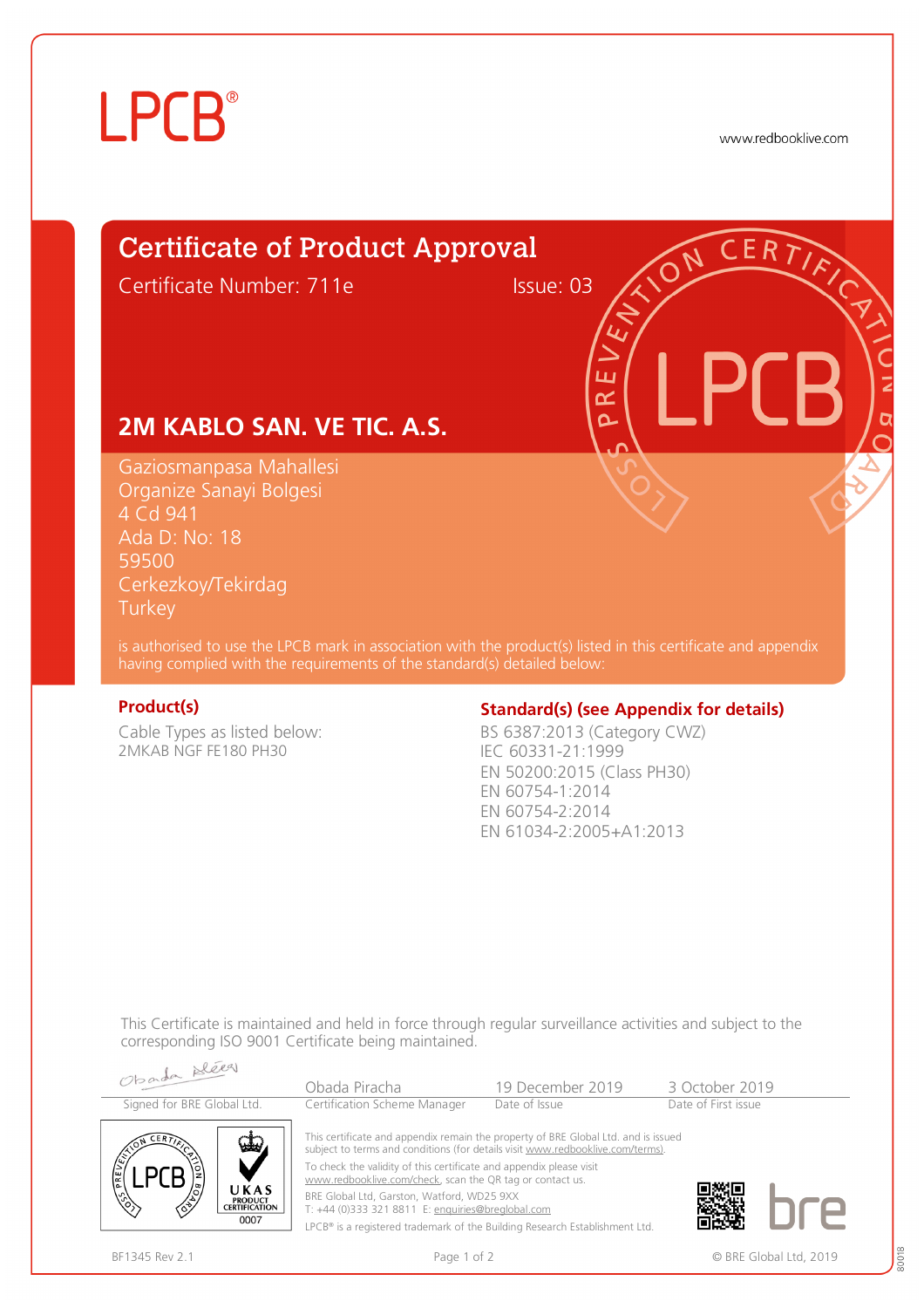# **LPCB**®

www.redbooklive.com

# Certificate of Product Approval

Certificate Number: 711e Issue: 03

ய œ  $\overline{\Omega}$ 

## **2M KABLO SAN. VE TIC. A.S.**

Gaziosmanpasa Mahallesi Organize Sanayi Bolgesi 4 Cd 941 Ada D: No: 18 59500 Cerkezkoy/Tekirdag **Turkey** 

is authorised to use the LPCB mark in association with the product(s) listed in this certificate and appendix having complied with the requirements of the standard(s) detailed below:

Cable Types as listed below: 2MKAB NGF FE180 PH30

## **Product(s) Constrained By Constrained Standard(s)** (see Appendix for details)

BS 6387:2013 (Category CWZ) IEC 60331-21:1999 EN 50200:2015 (Class PH30) EN 60754-1:2014 EN 60754-2:2014 EN 61034-2:2005+A1:2013

This Certificate is maintained and held in force through regular surveillance activities and subject to the corresponding ISO 9001 Certificate being maintained.

| Obarda Bleeg                                                                             | Obada Piracha                                                                                                                                                                                                                                                                                                                                                                                                                                                                              | 19 December 2019 | 3 October 2019      |
|------------------------------------------------------------------------------------------|--------------------------------------------------------------------------------------------------------------------------------------------------------------------------------------------------------------------------------------------------------------------------------------------------------------------------------------------------------------------------------------------------------------------------------------------------------------------------------------------|------------------|---------------------|
| Signed for BRE Global Ltd.                                                               | Certification Scheme Manager                                                                                                                                                                                                                                                                                                                                                                                                                                                               | Date of Issue    | Date of First issue |
| $CER$ $\sum$<br>مطون<br>PREVEN<br>UKAS<br><b>PRODUCT</b><br><b>CERTIFICATION</b><br>0007 | This certificate and appendix remain the property of BRE Global Ltd. and is issued<br>subject to terms and conditions (for details visit www.redbooklive.com/terms).<br>To check the validity of this certificate and appendix please visit<br>www.redbooklive.com/check, scan the QR tag or contact us.<br>BRE Global Ltd, Garston, Watford, WD25 9XX<br>T: +44 (0)333 321 8811 E: enquiries@breglobal.com<br>LPCB® is a registered trademark of the Building Research Establishment Ltd. |                  |                     |